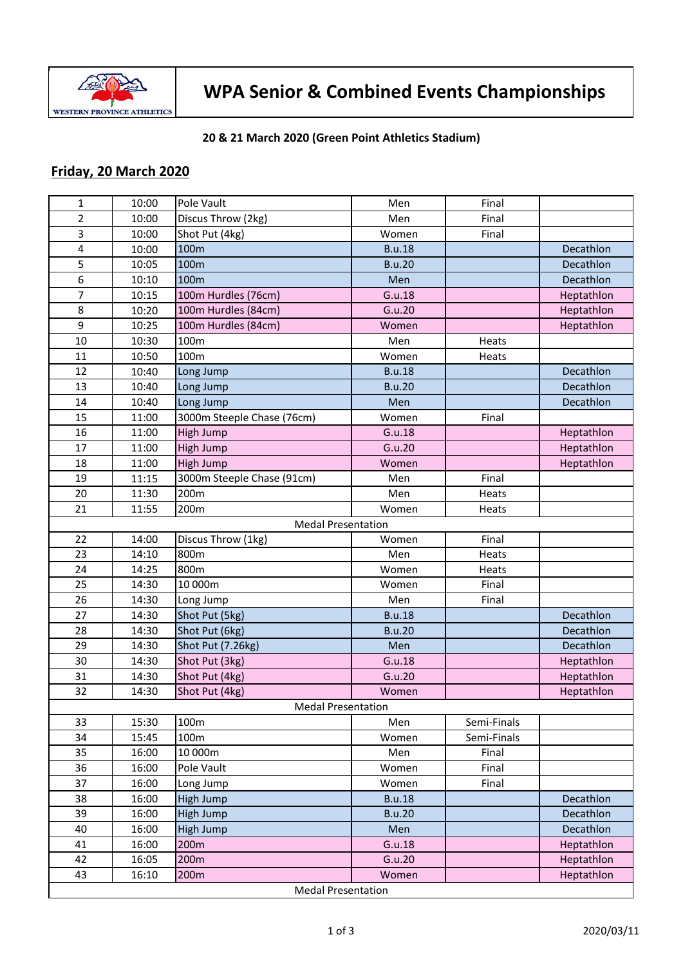

## **WPA Senior & Combined Events Championships**

## **20 & 21 March 2020 (Green Point Athletics Stadium)**

## **Friday, 20 March 2020**

| $\mathbf{1}$              | 10:00 | Pole Vault                 | Men           | Final       |            |  |
|---------------------------|-------|----------------------------|---------------|-------------|------------|--|
| $\overline{2}$            | 10:00 | Discus Throw (2kg)         | Men           | Final       |            |  |
| 3                         | 10:00 | Shot Put (4kg)             | Women         | Final       |            |  |
| 4                         | 10:00 | 100m                       | <b>B.u.18</b> |             | Decathlon  |  |
| 5                         | 10:05 | 100m                       | <b>B.u.20</b> |             | Decathlon  |  |
| 6                         | 10:10 | 100m                       | Men           |             | Decathlon  |  |
| $\overline{7}$            | 10:15 | 100m Hurdles (76cm)        | G.u.18        |             | Heptathlon |  |
| 8                         | 10:20 | 100m Hurdles (84cm)        | G.u.20        |             | Heptathlon |  |
| 9                         | 10:25 | 100m Hurdles (84cm)        | Women         |             | Heptathlon |  |
| 10                        | 10:30 | 100m                       | Men           | Heats       |            |  |
| 11                        | 10:50 | 100m                       | Women         | Heats       |            |  |
| 12                        | 10:40 | Long Jump                  | <b>B.u.18</b> |             | Decathlon  |  |
| 13                        | 10:40 | Long Jump                  | <b>B.u.20</b> |             | Decathlon  |  |
| 14                        | 10:40 | Long Jump                  | Men           |             | Decathlon  |  |
| 15                        | 11:00 | 3000m Steeple Chase (76cm) | Women         | Final       |            |  |
| 16                        | 11:00 | High Jump                  | G.u.18        |             | Heptathlon |  |
| 17                        | 11:00 | High Jump                  | G.u.20        |             | Heptathlon |  |
| 18                        | 11:00 | High Jump                  | Women         |             | Heptathlon |  |
| 19                        | 11:15 | 3000m Steeple Chase (91cm) | Men           | Final       |            |  |
| 20                        | 11:30 | 200m                       | Men           | Heats       |            |  |
| 21                        | 11:55 | 200m                       | Women         | Heats       |            |  |
|                           |       | <b>Medal Presentation</b>  |               |             |            |  |
| 22                        | 14:00 | Discus Throw (1kg)         | Women         | Final       |            |  |
| 23                        | 14:10 | 800m                       | Men           | Heats       |            |  |
| 24                        | 14:25 | 800m                       | Women         | Heats       |            |  |
| 25                        | 14:30 | 10 000m                    | Women         | Final       |            |  |
| 26                        | 14:30 | Long Jump                  | Men           | Final       |            |  |
| 27                        | 14:30 | Shot Put (5kg)             | <b>B.u.18</b> |             | Decathlon  |  |
| 28                        | 14:30 | Shot Put (6kg)             | <b>B.u.20</b> |             | Decathlon  |  |
| 29                        | 14:30 | Shot Put (7.26kg)          | Men           |             | Decathlon  |  |
| 30                        | 14:30 | Shot Put (3kg)             | G.u.18        |             | Heptathlon |  |
| 31                        | 14:30 | Shot Put (4kg)             | G.u.20        |             | Heptathlon |  |
| 32                        | 14:30 | Shot Put (4kg)             | Women         |             | Heptathlon |  |
| <b>Medal Presentation</b> |       |                            |               |             |            |  |
| 33                        | 15:30 | 100m                       | Men           | Semi-Finals |            |  |
| 34                        | 15:45 | 100m                       | Women         | Semi-Finals |            |  |
| 35                        | 16:00 | 10 000m                    | Men           | Final       |            |  |
| 36                        | 16:00 | Pole Vault                 | Women         | Final       |            |  |
| 37                        | 16:00 | Long Jump                  | Women         | Final       |            |  |
| 38                        | 16:00 | <b>High Jump</b>           | <b>B.u.18</b> |             | Decathlon  |  |
| 39                        | 16:00 | High Jump                  | <b>B.u.20</b> |             | Decathlon  |  |
| 40                        | 16:00 | High Jump                  | Men           |             | Decathlon  |  |
| 41                        | 16:00 | 200m                       | G.u.18        |             | Heptathlon |  |
| 42                        | 16:05 | 200m                       | G.u.20        |             | Heptathlon |  |
| 43                        | 16:10 | 200m                       | Women         |             | Heptathlon |  |
| <b>Medal Presentation</b> |       |                            |               |             |            |  |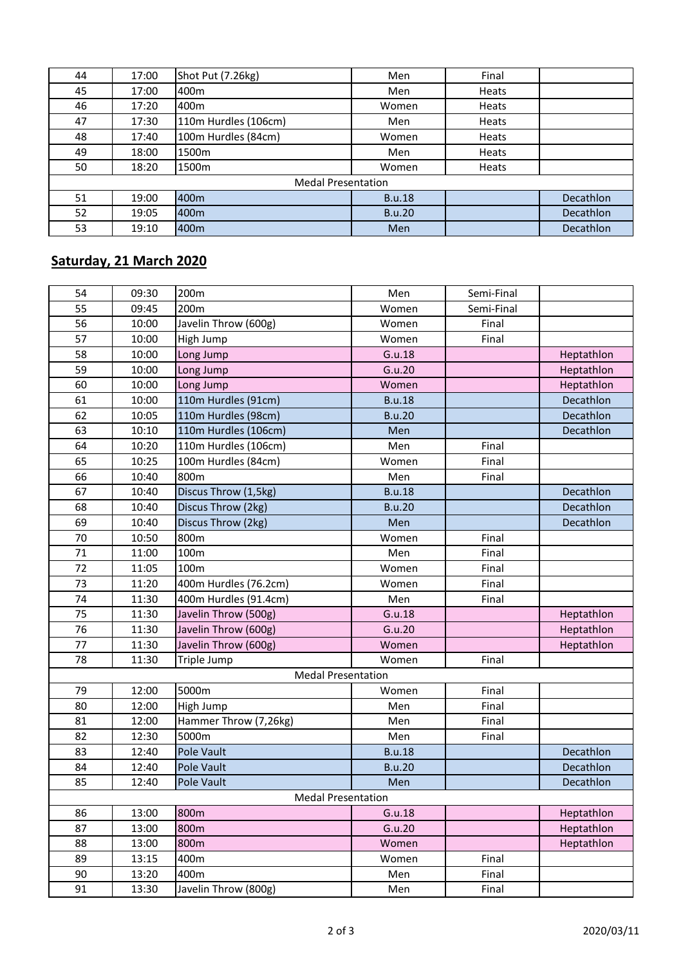| 44                        | 17:00 | Shot Put (7.26kg)    | Men           | Final |           |  |
|---------------------------|-------|----------------------|---------------|-------|-----------|--|
| 45                        | 17:00 | 400 <sub>m</sub>     | Men           | Heats |           |  |
| 46                        | 17:20 | 400 <sub>m</sub>     | Women         | Heats |           |  |
| 47                        | 17:30 | 110m Hurdles (106cm) | Men           | Heats |           |  |
| 48                        | 17:40 | 100m Hurdles (84cm)  | Women         | Heats |           |  |
| 49                        | 18:00 | 1500m                | Men           | Heats |           |  |
| 50                        | 18:20 | 1500m                | Women         | Heats |           |  |
| <b>Medal Presentation</b> |       |                      |               |       |           |  |
| 51                        | 19:00 | 400 <sub>m</sub>     | <b>B.u.18</b> |       | Decathlon |  |
| 52                        | 19:05 | 400 <sub>m</sub>     | <b>B.u.20</b> |       | Decathlon |  |
| 53                        | 19:10 | 400 <sub>m</sub>     | Men           |       | Decathlon |  |

## **Saturday, 21 March 2020**

| 54                        | 09:30 | 200m                  | Men           | Semi-Final |            |  |
|---------------------------|-------|-----------------------|---------------|------------|------------|--|
| 55                        | 09:45 | 200m                  | Women         | Semi-Final |            |  |
| 56                        | 10:00 | Javelin Throw (600g)  | Women         | Final      |            |  |
| 57                        | 10:00 | High Jump             | Women         | Final      |            |  |
| 58                        | 10:00 | Long Jump             | G.u.18        |            | Heptathlon |  |
| 59                        | 10:00 | Long Jump             | G.u.20        |            | Heptathlon |  |
| 60                        | 10:00 | Long Jump             | Women         |            | Heptathlon |  |
| 61                        | 10:00 | 110m Hurdles (91cm)   | <b>B.u.18</b> |            | Decathlon  |  |
| 62                        | 10:05 | 110m Hurdles (98cm)   | <b>B.u.20</b> |            | Decathlon  |  |
| 63                        | 10:10 | 110m Hurdles (106cm)  | Men           |            | Decathlon  |  |
| 64                        | 10:20 | 110m Hurdles (106cm)  | Men           | Final      |            |  |
| 65                        | 10:25 | 100m Hurdles (84cm)   | Women         | Final      |            |  |
| 66                        | 10:40 | 800m                  | Men           | Final      |            |  |
| 67                        | 10:40 | Discus Throw (1,5kg)  | <b>B.u.18</b> |            | Decathlon  |  |
| 68                        | 10:40 | Discus Throw (2kg)    | <b>B.u.20</b> |            | Decathlon  |  |
| 69                        | 10:40 | Discus Throw (2kg)    | Men           |            | Decathlon  |  |
| 70                        | 10:50 | 800m                  | Women         | Final      |            |  |
| 71                        | 11:00 | 100m                  | Men           | Final      |            |  |
| 72                        | 11:05 | 100m                  | Women         | Final      |            |  |
| 73                        | 11:20 | 400m Hurdles (76.2cm) | Women         | Final      |            |  |
| 74                        | 11:30 | 400m Hurdles (91.4cm) | Men           | Final      |            |  |
| 75                        | 11:30 | Javelin Throw (500g)  | G.u.18        |            | Heptathlon |  |
| 76                        | 11:30 | Javelin Throw (600g)  | G.u.20        |            | Heptathlon |  |
| 77                        | 11:30 | Javelin Throw (600g)  | Women         |            | Heptathlon |  |
| 78                        | 11:30 | Triple Jump           | Women         | Final      |            |  |
| <b>Medal Presentation</b> |       |                       |               |            |            |  |
| 79                        | 12:00 | 5000m                 | Women         | Final      |            |  |
| 80                        | 12:00 | High Jump             | Men           | Final      |            |  |
| 81                        | 12:00 | Hammer Throw (7,26kg) | Men           | Final      |            |  |
| 82                        | 12:30 | 5000m                 | Men           | Final      |            |  |
| 83                        | 12:40 | Pole Vault            | <b>B.u.18</b> |            | Decathlon  |  |
| 84                        | 12:40 | Pole Vault            | <b>B.u.20</b> |            | Decathlon  |  |
| 85                        | 12:40 | Pole Vault            | Men           |            | Decathlon  |  |
| <b>Medal Presentation</b> |       |                       |               |            |            |  |
| 86                        | 13:00 | 800m                  | G.u.18        |            | Heptathlon |  |
| 87                        | 13:00 | 800m                  | G.u.20        |            | Heptathlon |  |
| 88                        | 13:00 | 800m                  | Women         |            | Heptathlon |  |
| 89                        | 13:15 | 400m                  | Women         | Final      |            |  |
| 90                        | 13:20 | 400m                  | Men           | Final      |            |  |
| 91                        | 13:30 | Javelin Throw (800g)  | Men           | Final      |            |  |
|                           |       |                       |               |            |            |  |